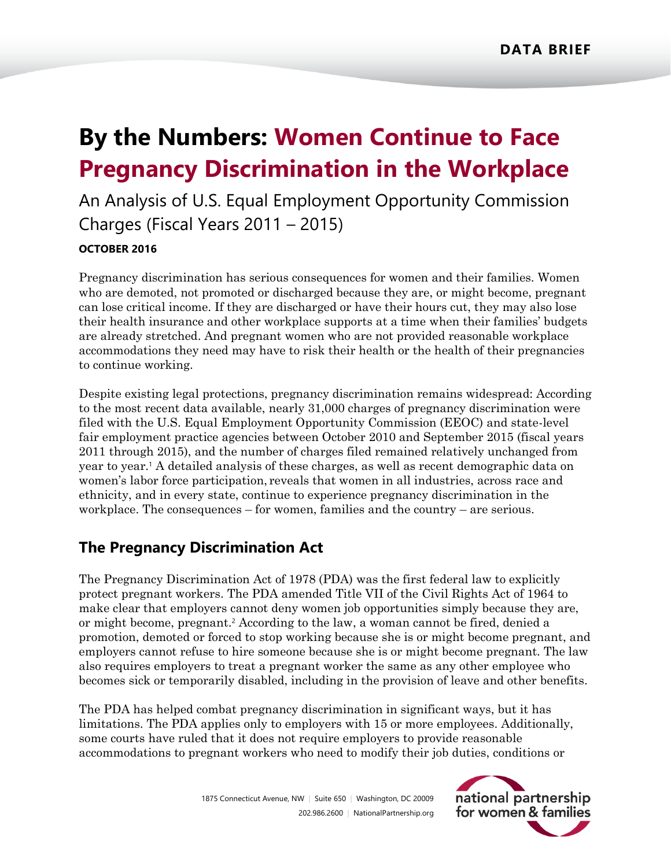# **By the Numbers: Women Continue to Face Pregnancy Discrimination in the Workplace**

An Analysis of U.S. Equal Employment Opportunity Commission Charges (Fiscal Years 2011 – 2015)

#### **OCTOBER 2016**

Pregnancy discrimination has serious consequences for women and their families. Women who are demoted, not promoted or discharged because they are, or might become, pregnant can lose critical income. If they are discharged or have their hours cut, they may also lose their health insurance and other workplace supports at a time when their families' budgets are already stretched. And pregnant women who are not provided reasonable workplace accommodations they need may have to risk their health or the health of their pregnancies to continue working.

Despite existing legal protections, pregnancy discrimination remains widespread: According to the most recent data available, nearly 31,000 charges of pregnancy discrimination were filed with the U.S. Equal Employment Opportunity Commission (EEOC) and state-level fair employment practice agencies between October 2010 and September 2015 (fiscal years 2011 through 2015), and the number of charges filed remained relatively unchanged from year to year.<sup>1</sup> A detailed analysis of these charges, as well as recent demographic data on women's labor force participation, reveals that women in all industries, across race and ethnicity, and in every state, continue to experience pregnancy discrimination in the workplace. The consequences – for women, families and the country – are serious.

## **The Pregnancy Discrimination Act**

The Pregnancy Discrimination Act of 1978 (PDA) was the first federal law to explicitly protect pregnant workers. The PDA amended Title VII of the Civil Rights Act of 1964 to make clear that employers cannot deny women job opportunities simply because they are, or might become, pregnant.<sup>2</sup> According to the law, a woman cannot be fired, denied a promotion, demoted or forced to stop working because she is or might become pregnant, and employers cannot refuse to hire someone because she is or might become pregnant. The law also requires employers to treat a pregnant worker the same as any other employee who becomes sick or temporarily disabled, including in the provision of leave and other benefits.

The PDA has helped combat pregnancy discrimination in significant ways, but it has limitations. The PDA applies only to employers with 15 or more employees. Additionally, some courts have ruled that it does not require employers to provide reasonable accommodations to pregnant workers who need to modify their job duties, conditions or

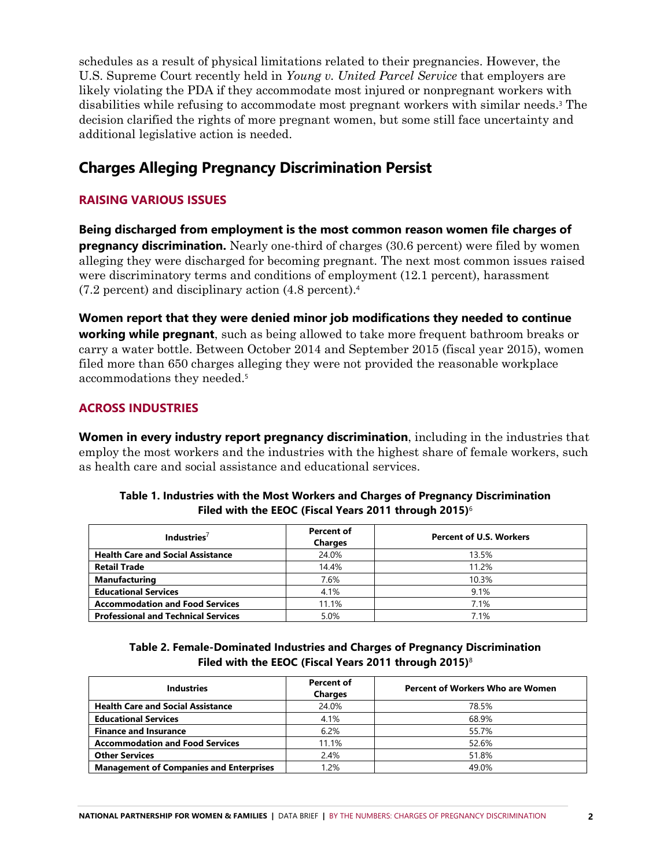schedules as a result of physical limitations related to their pregnancies. However, the U.S. Supreme Court recently held in *Young v. United Parcel Service* that employers are likely violating the PDA if they accommodate most injured or nonpregnant workers with disabilities while refusing to accommodate most pregnant workers with similar needs. <sup>3</sup> The decision clarified the rights of more pregnant women, but some still face uncertainty and additional legislative action is needed.

## **Charges Alleging Pregnancy Discrimination Persist**

#### **RAISING VARIOUS ISSUES**

**Being discharged from employment is the most common reason women file charges of pregnancy discrimination.** Nearly one-third of charges (30.6 percent) were filed by women alleging they were discharged for becoming pregnant. The next most common issues raised were discriminatory terms and conditions of employment (12.1 percent), harassment (7.2 percent) and disciplinary action (4.8 percent).<sup>4</sup>

**Women report that they were denied minor job modifications they needed to continue working while pregnant**, such as being allowed to take more frequent bathroom breaks or carry a water bottle. Between October 2014 and September 2015 (fiscal year 2015), women filed more than 650 charges alleging they were not provided the reasonable workplace accommodations they needed. 5

#### **ACROSS INDUSTRIES**

**Women in every industry report pregnancy discrimination**, including in the industries that employ the most workers and the industries with the highest share of female workers, such as health care and social assistance and educational services.

| Industries <sup>/</sup>                    | Percent of<br><b>Charges</b> | <b>Percent of U.S. Workers</b> |
|--------------------------------------------|------------------------------|--------------------------------|
| <b>Health Care and Social Assistance</b>   | 24.0%                        | 13.5%                          |
| <b>Retail Trade</b>                        | 14.4%                        | 11.2%                          |
| <b>Manufacturing</b>                       | 7.6%                         | 10.3%                          |
| <b>Educational Services</b>                | 4.1%                         | 9.1%                           |
| <b>Accommodation and Food Services</b>     | 11.1%                        | 7.1%                           |
| <b>Professional and Technical Services</b> | 5.0%                         | 7 1%                           |

#### **Table 1. Industries with the Most Workers and Charges of Pregnancy Discrimination Filed with the EEOC (Fiscal Years 2011 through 2015)**<sup>6</sup>

**Table 2. Female-Dominated Industries and Charges of Pregnancy Discrimination Filed with the EEOC (Fiscal Years 2011 through 2015)**<sup>8</sup>

| <b>Industries</b>                              | <b>Percent of</b><br><b>Charges</b> | <b>Percent of Workers Who are Women</b> |
|------------------------------------------------|-------------------------------------|-----------------------------------------|
| <b>Health Care and Social Assistance</b>       | 24.0%                               | 78.5%                                   |
| <b>Educational Services</b>                    | 4.1%                                | 68.9%                                   |
| <b>Finance and Insurance</b>                   | 6.2%                                | 55.7%                                   |
| <b>Accommodation and Food Services</b>         | 11.1%                               | 52.6%                                   |
| <b>Other Services</b>                          | 2.4%                                | 51.8%                                   |
| <b>Management of Companies and Enterprises</b> | 1.2%                                | 49.0%                                   |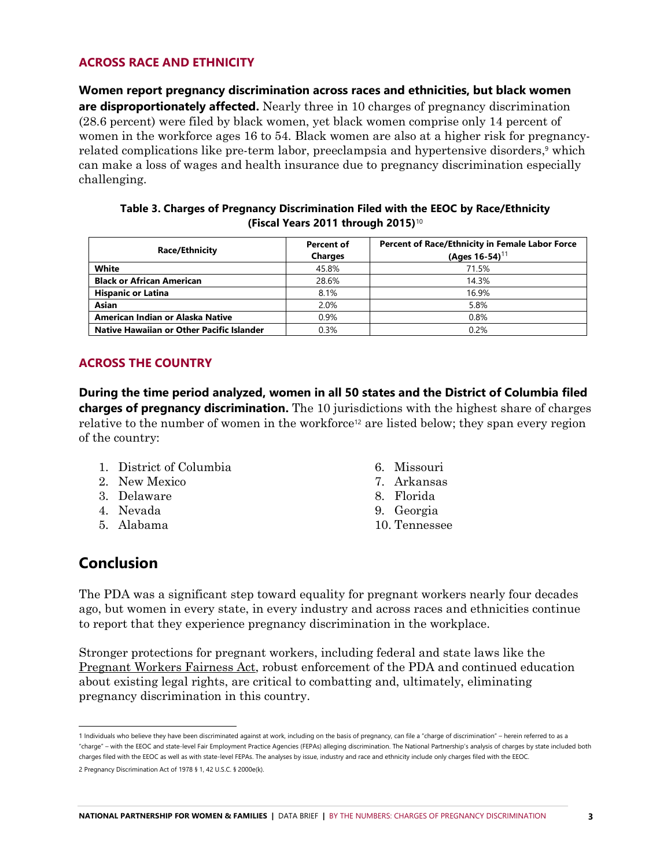#### **ACROSS RACE AND ETHNICITY**

**Women report pregnancy discrimination across races and ethnicities, but black women are disproportionately affected.** Nearly three in 10 charges of pregnancy discrimination (28.6 percent) were filed by black women, yet black women comprise only 14 percent of women in the workforce ages 16 to 54. Black women are also at a higher risk for pregnancyrelated complications like pre-term labor, preeclampsia and hypertensive disorders, <sup>9</sup> which can make a loss of wages and health insurance due to pregnancy discrimination especially challenging.

| Table 3. Charges of Pregnancy Discrimination Filed with the EEOC by Race/Ethnicity |  |  |  |
|------------------------------------------------------------------------------------|--|--|--|
| (Fiscal Years 2011 through 2015) <sup>10</sup>                                     |  |  |  |

| <b>Race/Ethnicity</b>                     | <b>Percent of</b><br><b>Charges</b> | Percent of Race/Ethnicity in Female Labor Force<br>(Ages $16-54$ ) <sup>11</sup> |
|-------------------------------------------|-------------------------------------|----------------------------------------------------------------------------------|
| White                                     | 45.8%                               | 71.5%                                                                            |
| <b>Black or African American</b>          | 28.6%                               | 14 3%                                                                            |
| <b>Hispanic or Latina</b>                 | 8.1%                                | 16.9%                                                                            |
| <b>Asian</b>                              | 2.0%                                | 5.8%                                                                             |
| American Indian or Alaska Native          | 0.9%                                | 0.8%                                                                             |
| Native Hawaiian or Other Pacific Islander | 0.3%                                | 0.2%                                                                             |

#### **ACROSS THE COUNTRY**

**During the time period analyzed, women in all 50 states and the District of Columbia filed charges of pregnancy discrimination.** The 10 jurisdictions with the highest share of charges relative to the number of women in the workforce<sup>12</sup> are listed below; they span every region of the country:

- 1. District of Columbia
- 2. New Mexico
- 3. Delaware
- 4. Nevada
- 5. Alabama
- 6. Missouri
- 7. Arkansas
- 8. Florida
- 9. Georgia
- 10. Tennessee

### **Conclusion**

The PDA was a significant step toward equality for pregnant workers nearly four decades ago, but women in every state, in every industry and across races and ethnicities continue to report that they experience pregnancy discrimination in the workplace.

Stronger protections for pregnant workers, including federal and state laws like the [Pregnant Workers Fairness Act,](http://www.nationalpartnership.org/research-library/workplace-fairness/pregnancy-discrimination/fact-sheet-pwfa.pdf) robust enforcement of the PDA and continued education about existing legal rights, are critical to combatting and, ultimately, eliminating pregnancy discrimination in this country.

<sup>1</sup> Individuals who believe they have been discriminated against at work, including on the basis of pregnancy, can file a "charge of discrimination" – herein referred to as a "charge" – with the EEOC and state-level Fair Employment Practice Agencies (FEPAs) alleging discrimination. The National Partnership's analysis of charges by state included both charges filed with the EEOC as well as with state-level FEPAs. The analyses by issue, industry and race and ethnicity include only charges filed with the EEOC. 2 Pregnancy Discrimination Act of 1978 § 1, 42 U.S.C. § 2000e(k).